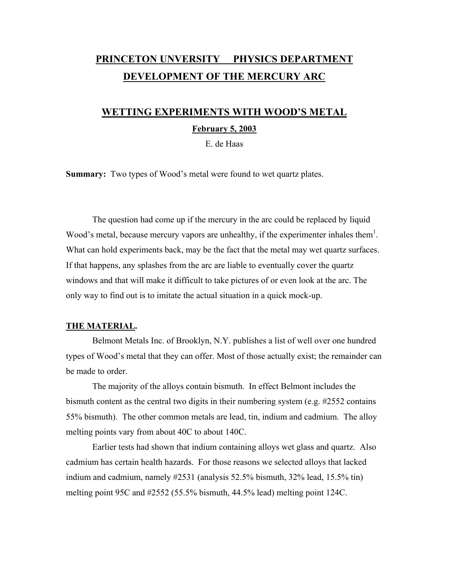# **PRINCETON UNVERSITY PHYSICS DEPARTMENT DEVELOPMENT OF THE MERCURY ARC**

# **WETTING EXPERIMENTS WITH WOOD'S METAL**

### **February 5, 2003**

E. de Haas

**Summary:** Two types of Wood's metal were found to wet quartz plates.

 The question had come up if the mercury in the arc could be replaced by liquid Wood's metal, because mercury vapors are unhealthy, if the experimenter inhales them<sup>1</sup>. What can hold experiments back, may be the fact that the metal may wet quartz surfaces. If that happens, any splashes from the arc are liable to eventually cover the quartz windows and that will make it difficult to take pictures of or even look at the arc. The only way to find out is to imitate the actual situation in a quick mock-up.

#### **THE MATERIAL.**

 Belmont Metals Inc. of Brooklyn, N.Y. publishes a list of well over one hundred types of Wood's metal that they can offer. Most of those actually exist; the remainder can be made to order.

 The majority of the alloys contain bismuth. In effect Belmont includes the bismuth content as the central two digits in their numbering system (e.g. #2552 contains 55% bismuth). The other common metals are lead, tin, indium and cadmium. The alloy melting points vary from about 40C to about 140C.

 Earlier tests had shown that indium containing alloys wet glass and quartz. Also cadmium has certain health hazards. For those reasons we selected alloys that lacked indium and cadmium, namely #2531 (analysis 52.5% bismuth, 32% lead, 15.5% tin) melting point 95C and #2552 (55.5% bismuth, 44.5% lead) melting point 124C.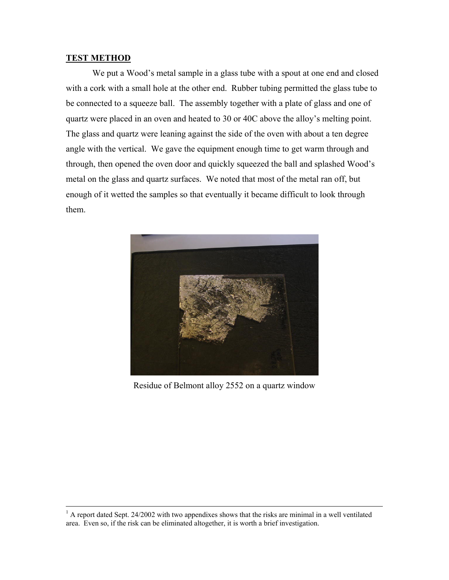#### **TEST METHOD**

 We put a Wood's metal sample in a glass tube with a spout at one end and closed with a cork with a small hole at the other end. Rubber tubing permitted the glass tube to be connected to a squeeze ball. The assembly together with a plate of glass and one of quartz were placed in an oven and heated to 30 or 40C above the alloy's melting point. The glass and quartz were leaning against the side of the oven with about a ten degree angle with the vertical. We gave the equipment enough time to get warm through and through, then opened the oven door and quickly squeezed the ball and splashed Wood's metal on the glass and quartz surfaces. We noted that most of the metal ran off, but enough of it wetted the samples so that eventually it became difficult to look through them.



Residue of Belmont alloy 2552 on a quartz window

 $\frac{1}{1}$  $<sup>1</sup>$  A report dated Sept. 24/2002 with two appendixes shows that the risks are minimal in a well ventilated</sup> area. Even so, if the risk can be eliminated altogether, it is worth a brief investigation.